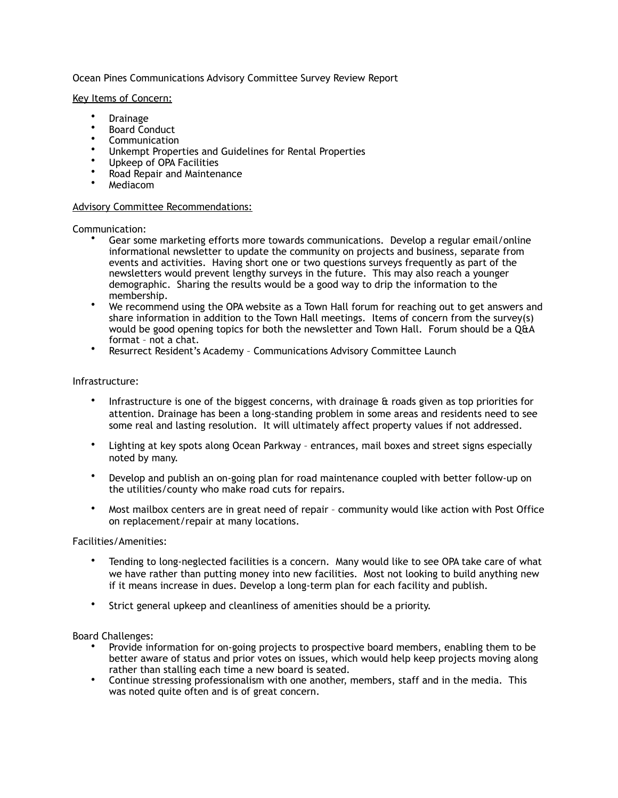# Ocean Pines Communications Advisory Committee Survey Review Report

#### Key Items of Concern:

- Drainage
- Board Conduct
- Communication
- Unkempt Properties and Guidelines for Rental Properties
- Upkeep of OPA Facilities
- Road Repair and Maintenance
- Mediacom

### Advisory Committee Recommendations:

Communication:

- Gear some marketing efforts more towards communications. Develop a regular email/online informational newsletter to update the community on projects and business, separate from events and activities. Having short one or two questions surveys frequently as part of the newsletters would prevent lengthy surveys in the future. This may also reach a younger demographic. Sharing the results would be a good way to drip the information to the membership.
- We recommend using the OPA website as a Town Hall forum for reaching out to get answers and share information in addition to the Town Hall meetings. Items of concern from the survey(s) would be good opening topics for both the newsletter and Town Hall. Forum should be a  $\hat{Q}$ &A format – not a chat.
- Resurrect Resident's Academy Communications Advisory Committee Launch

### Infrastructure:

- Infrastructure is one of the biggest concerns, with drainage  $\alpha$  roads given as top priorities for attention. Drainage has been a long-standing problem in some areas and residents need to see some real and lasting resolution. It will ultimately affect property values if not addressed.
- Lighting at key spots along Ocean Parkway entrances, mail boxes and street signs especially noted by many.
- Develop and publish an on-going plan for road maintenance coupled with better follow-up on the utilities/county who make road cuts for repairs.
- Most mailbox centers are in great need of repair community would like action with Post Office on replacement/repair at many locations.

Facilities/Amenities:

- Tending to long-neglected facilities is a concern. Many would like to see OPA take care of what we have rather than putting money into new facilities. Most not looking to build anything new if it means increase in dues. Develop a long-term plan for each facility and publish.
- Strict general upkeep and cleanliness of amenities should be a priority.

### Board Challenges:

- Provide information for on-going projects to prospective board members, enabling them to be better aware of status and prior votes on issues, which would help keep projects moving along rather than stalling each time a new board is seated.
- Continue stressing professionalism with one another, members, staff and in the media. This was noted quite often and is of great concern.